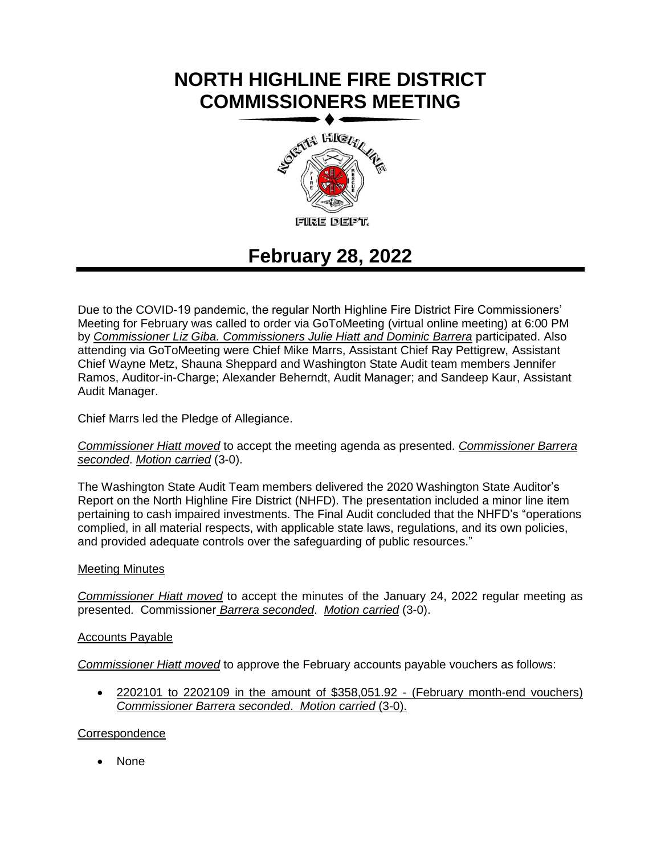# **NORTH HIGHLINE FIRE DISTRICT COMMISSIONERS MEETING**



# **February 28, 2022**

Due to the COVID-19 pandemic, the regular North Highline Fire District Fire Commissioners' Meeting for February was called to order via GoToMeeting (virtual online meeting) at 6:00 PM by *Commissioner Liz Giba. Commissioners Julie Hiatt and Dominic Barrera* participated. Also attending via GoToMeeting were Chief Mike Marrs, Assistant Chief Ray Pettigrew, Assistant Chief Wayne Metz, Shauna Sheppard and Washington State Audit team members Jennifer Ramos, Auditor-in-Charge; Alexander Beherndt, Audit Manager; and Sandeep Kaur, Assistant Audit Manager.

Chief Marrs led the Pledge of Allegiance.

#### *Commissioner Hiatt moved* to accept the meeting agenda as presented. *Commissioner Barrera seconded*. *Motion carried* (3-0).

The Washington State Audit Team members delivered the 2020 Washington State Auditor's Report on the North Highline Fire District (NHFD). The presentation included a minor line item pertaining to cash impaired investments. The Final Audit concluded that the NHFD's "operations complied, in all material respects, with applicable state laws, regulations, and its own policies, and provided adequate controls over the safeguarding of public resources."

#### Meeting Minutes

*Commissioner Hiatt moved* to accept the minutes of the January 24, 2022 regular meeting as presented. Commissioner *Barrera seconded*. *Motion carried* (3-0).

#### Accounts Payable

*Commissioner Hiatt moved* to approve the February accounts payable vouchers as follows:

• 2202101 to 2202109 in the amount of \$358,051.92 - (February month-end vouchers) *Commissioner Barrera seconded*. *Motion carried* (3-0).

**Correspondence** 

• None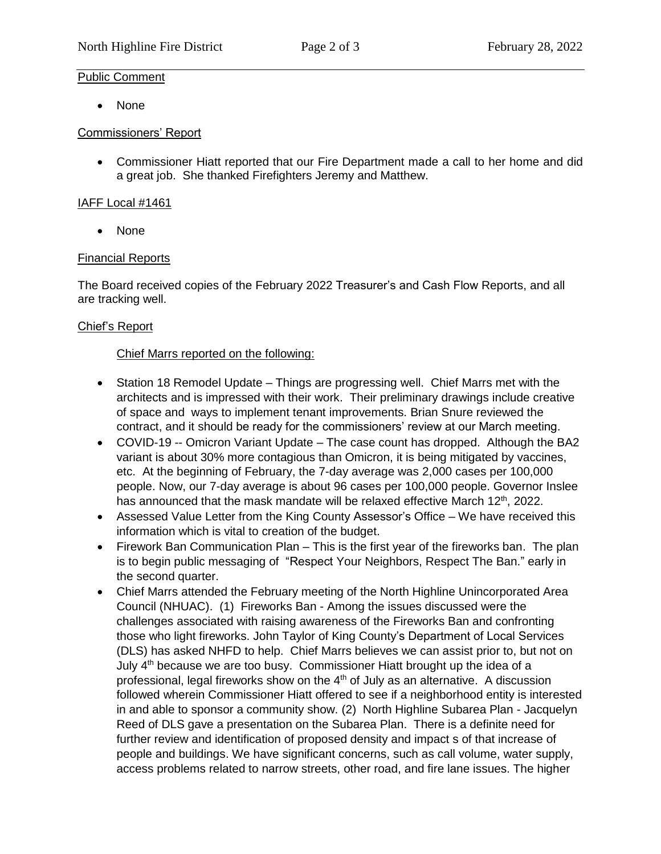### Public Comment

• None

### Commissioners' Report

• Commissioner Hiatt reported that our Fire Department made a call to her home and did a great job. She thanked Firefighters Jeremy and Matthew.

#### IAFF Local #1461

• None

# Financial Reports

The Board received copies of the February 2022 Treasurer's and Cash Flow Reports, and all are tracking well.

#### Chief's Report

# Chief Marrs reported on the following:

- contract, and it should be ready for the commissioners' review at our March meeting. • Station 18 Remodel Update – Things are progressing well. Chief Marrs met with the architects and is impressed with their work. Their preliminary drawings include creative of space and ways to implement tenant improvements. Brian Snure reviewed the
- COVID-19 -- Omicron Variant Update The case count has dropped. Although the BA2 variant is about 30% more contagious than Omicron, it is being mitigated by vaccines, etc. At the beginning of February, the 7-day average was 2,000 cases per 100,000 people. Now, our 7-day average is about 96 cases per 100,000 people. Governor Inslee has announced that the mask mandate will be relaxed effective March 12<sup>th</sup>, 2022.
- Assessed Value Letter from the King County Assessor's Office We have received this information which is vital to creation of the budget.
- Firework Ban Communication Plan This is the first year of the fireworks ban. The plan is to begin public messaging of "Respect Your Neighbors, Respect The Ban." early in the second quarter.
- Chief Marrs attended the February meeting of the North Highline Unincorporated Area Council (NHUAC). (1) Fireworks Ban - Among the issues discussed were the challenges associated with raising awareness of the Fireworks Ban and confronting those who light fireworks. John Taylor of King County's Department of Local Services (DLS) has asked NHFD to help. Chief Marrs believes we can assist prior to, but not on July 4<sup>th</sup> because we are too busy. Commissioner Hiatt brought up the idea of a professional, legal fireworks show on the  $4<sup>th</sup>$  of July as an alternative. A discussion followed wherein Commissioner Hiatt offered to see if a neighborhood entity is interested in and able to sponsor a community show. (2) North Highline Subarea Plan - Jacquelyn Reed of DLS gave a presentation on the Subarea Plan. There is a definite need for further review and identification of proposed density and impact s of that increase of people and buildings. We have significant concerns, such as call volume, water supply, access problems related to narrow streets, other road, and fire lane issues. The higher